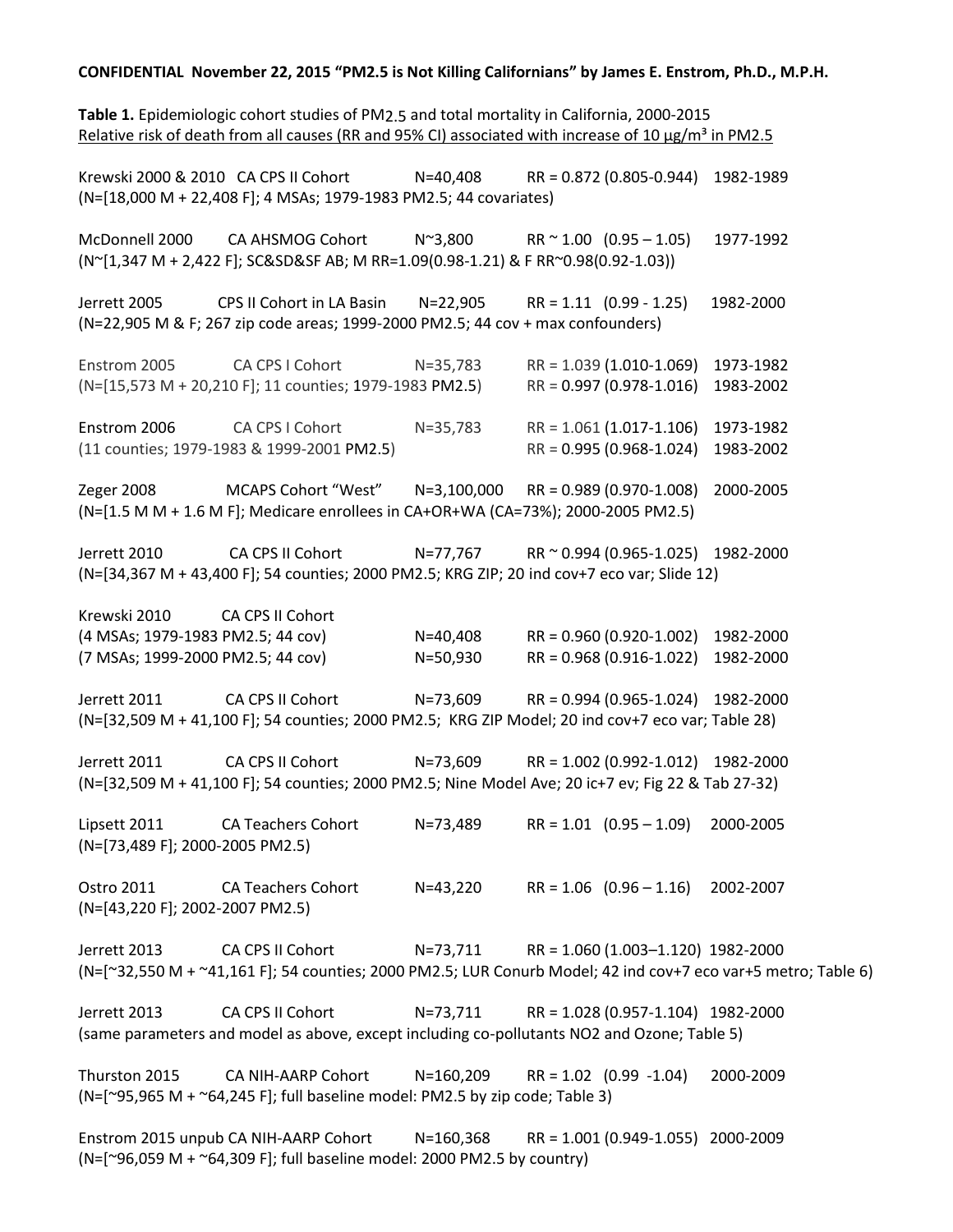## **CONFIDENTIAL November 22, 2015 "PM2.5 is Not Killing Californians" by James E. Enstrom, Ph.D., M.P.H.**

**Table 1.** Epidemiologic cohort studies of PM2.5 and total mortality in California, 2000-2015 Relative risk of death from all causes (RR and 95% CI) associated with increase of 10  $\mu$ g/m<sup>3</sup> in PM2.5 Krewski 2000 & 2010 CA CPS II Cohort N=40,408 RR = 0.872 (0.805-0.944) 1982-1989 (N=[18,000 M + 22,408 F]; 4 MSAs; 1979-1983 PM2.5; 44 covariates) McDonnell 2000 CA AHSMOG Cohort N~3,800 RR ~ 1.00 (0.95 – 1.05) 1977-1992 (N~[1,347 M + 2,422 F]; SC&SD&SF AB; M RR=1.09(0.98-1.21) & F RR~0.98(0.92-1.03)) Jerrett 2005 CPS II Cohort in LA Basin N=22,905 RR = 1.11 (0.99 - 1.25) 1982-2000 (N=22,905 M & F; 267 zip code areas; 1999-2000 PM2.5; 44 cov + max confounders) Enstrom 2005 CA CPS I Cohort N=35,783 RR = 1.039 (1.010-1.069) 1973-1982 (N=[15,573 M + 20,210 F]; 11 counties; 1979-1983 PM2.5) RR = 0.997 (0.978-1.016) 1983-2002 Enstrom 2006 CA CPS I Cohort N=35,783 RR = 1.061 (1.017-1.106) 1973-1982 (11 counties; 1979-1983 & 1999-2001 PM2.5) RR = 0.995 (0.968-1.024) 1983-2002 Zeger 2008 MCAPS Cohort "West" N=3,100,000 RR = 0.989 (0.970-1.008) 2000-2005 (N=[1.5 M M + 1.6 M F]; Medicare enrollees in CA+OR+WA (CA=73%); 2000-2005 PM2.5) Jerrett 2010 CA CPS II Cohort N=77,767 RR ~ 0.994 (0.965-1.025) 1982-2000 (N=[34,367 M + 43,400 F]; 54 counties; 2000 PM2.5; KRG ZIP; 20 ind cov+7 eco var; Slide 12) Krewski 2010 CA CPS II Cohort (4 MSAs; 1979-1983 PM2.5; 44 cov) N=40,408 RR = 0.960 (0.920-1.002) 1982-2000 (7 MSAs; 1999-2000 PM2.5; 44 cov) N=50,930 RR = 0.968 (0.916-1.022) 1982-2000 Jerrett 2011 CA CPS II Cohort N=73,609 RR = 0.994 (0.965-1.024) 1982-2000 (N=[32,509 M + 41,100 F]; 54 counties; 2000 PM2.5; KRG ZIP Model; 20 ind cov+7 eco var; Table 28) Jerrett 2011 CA CPS II Cohort N=73,609 RR = 1.002 (0.992-1.012) 1982-2000 (N=[32,509 M + 41,100 F]; 54 counties; 2000 PM2.5; Nine Model Ave; 20 ic+7 ev; Fig 22 & Tab 27-32) Lipsett 2011 CA Teachers Cohort N=73,489 RR = 1.01 (0.95 – 1.09) 2000-2005 (N=[73,489 F]; 2000-2005 PM2.5) Ostro 2011 CA Teachers Cohort N=43,220 RR = 1.06 (0.96 – 1.16) 2002-2007 (N=[43,220 F]; 2002-2007 PM2.5) Jerrett 2013 CA CPS II Cohort N=73,711 RR = 1.060 (1.003–1.120) 1982-2000 (N=[~32,550 M + ~41,161 F]; 54 counties; 2000 PM2.5; LUR Conurb Model; 42 ind cov+7 eco var+5 metro; Table 6) Jerrett 2013 CA CPS II Cohort N=73,711 RR = 1.028 (0.957-1.104) 1982-2000 (same parameters and model as above, except including co-pollutants NO2 and Ozone; Table 5) Thurston 2015 CA NIH-AARP Cohort N=160,209 RR = 1.02 (0.99 -1.04) 2000-2009  $(N=[\sim]95,965 \text{ M} + \sim]64,245 \text{ F}$ ; full baseline model: PM2.5 by zip code; Table 3) Enstrom 2015 unpub CA NIH-AARP Cohort N=160,368 RR = 1.001 (0.949-1.055) 2000-2009 (N=[~96,059 M + ~64,309 F]; full baseline model: 2000 PM2.5 by country)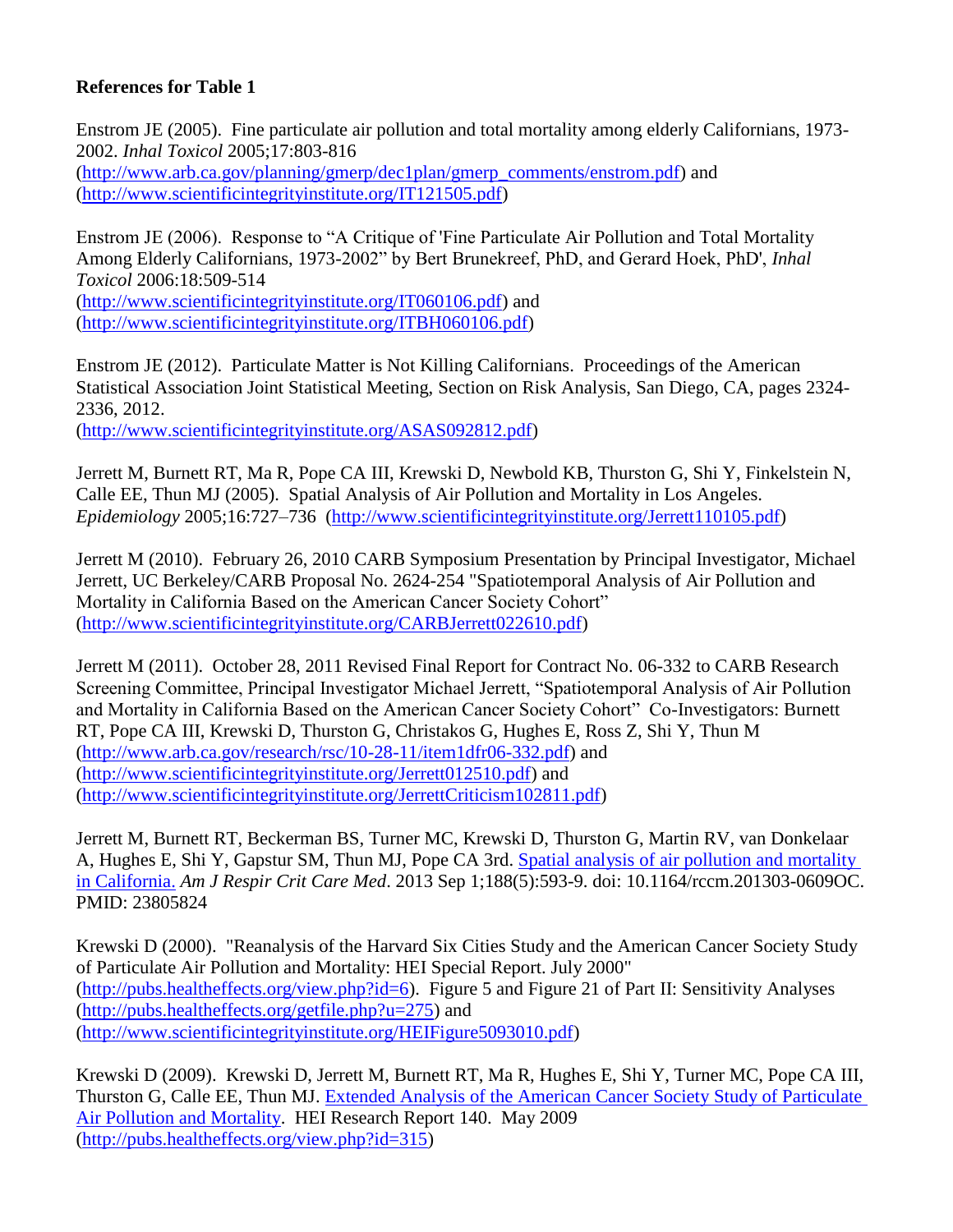## **References for Table 1**

Enstrom JE (2005). Fine particulate air pollution and total mortality among elderly Californians, 1973- 2002. *Inhal Toxicol* 2005;17:803-816 [\(http://www.arb.ca.gov/planning/gmerp/dec1plan/gmerp\\_comments/enstrom.pdf\)](http://www.arb.ca.gov/planning/gmerp/dec1plan/gmerp_comments/enstrom.pdf) and [\(http://www.scientificintegrityinstitute.org/IT121505.pdf\)](http://www.scientificintegrityinstitute.org/IT121505.pdf)

Enstrom JE (2006). Response to "A Critique of 'Fine Particulate Air Pollution and Total Mortality Among Elderly Californians, 1973-2002" by Bert Brunekreef, PhD, and Gerard Hoek, PhD', *Inhal Toxicol* 2006:18:509-514

[\(http://www.scientificintegrityinstitute.org/IT060106.pdf\)](http://www.scientificintegrityinstitute.org/IT060106.pdf) and [\(http://www.scientificintegrityinstitute.org/ITBH060106.pdf\)](http://www.scientificintegrityinstitute.org/ITBH060106.pdf)

Enstrom JE (2012). Particulate Matter is Not Killing Californians. Proceedings of the American Statistical Association Joint Statistical Meeting, Section on Risk Analysis, San Diego, CA, pages 2324- 2336, 2012.

[\(http://www.scientificintegrityinstitute.org/ASAS092812.pdf\)](http://www.scientificintegrityinstitute.org/ASAS092812.pdf)

Jerrett M, Burnett RT, Ma R, Pope CA III, Krewski D, Newbold KB, Thurston G, Shi Y, Finkelstein N, Calle EE, Thun MJ (2005). Spatial Analysis of Air Pollution and Mortality in Los Angeles. *Epidemiology* 2005;16:727–736 [\(http://www.scientificintegrityinstitute.org/Jerrett110105.pdf\)](http://www.scientificintegrityinstitute.org/Jerrett110105.pdf)

Jerrett M (2010). February 26, 2010 CARB Symposium Presentation by Principal Investigator, Michael Jerrett, UC Berkeley/CARB Proposal No. 2624-254 "Spatiotemporal Analysis of Air Pollution and Mortality in California Based on the American Cancer Society Cohort" [\(http://www.scientificintegrityinstitute.org/CARBJerrett022610.pdf\)](http://www.scientificintegrityinstitute.org/CARBJerrett022610.pdf)

Jerrett M (2011). October 28, 2011 Revised Final Report for Contract No. 06-332 to CARB Research Screening Committee, Principal Investigator Michael Jerrett, "Spatiotemporal Analysis of Air Pollution and Mortality in California Based on the American Cancer Society Cohort" Co-Investigators: Burnett RT, Pope CA III, Krewski D, Thurston G, Christakos G, Hughes E, Ross Z, Shi Y, Thun M [\(http://www.arb.ca.gov/research/rsc/10-28-11/item1dfr06-332.pdf\)](http://www.arb.ca.gov/research/rsc/10-28-11/item1dfr06-332.pdf) and [\(http://www.scientificintegrityinstitute.org/Jerrett012510.pdf\)](http://www.scientificintegrityinstitute.org/Jerrett012510.pdf) and [\(http://www.scientificintegrityinstitute.org/JerrettCriticism102811.pdf\)](http://www.scientificintegrityinstitute.org/JerrettCriticism102811.pdf)

Jerrett M, Burnett RT, Beckerman BS, Turner MC, Krewski D, Thurston G, Martin RV, van Donkelaar A, Hughes E, Shi Y, Gapstur SM, Thun MJ, Pope CA 3rd. [Spatial analysis of air pollution and mortality](http://www.ncbi.nlm.nih.gov/pubmed/23805824)  [in California.](http://www.ncbi.nlm.nih.gov/pubmed/23805824) *Am J Respir Crit Care Med*. 2013 Sep 1;188(5):593-9. doi: 10.1164/rccm.201303-0609OC. PMID: 23805824

Krewski D (2000). "Reanalysis of the Harvard Six Cities Study and the American Cancer Society Study of Particulate Air Pollution and Mortality: HEI Special Report. July 2000" [\(http://pubs.healtheffects.org/view.php?id=6\)](http://pubs.healtheffects.org/view.php?id=6). Figure 5 and Figure 21 of Part II: Sensitivity Analyses [\(http://pubs.healtheffects.org/getfile.php?u=275\)](http://pubs.healtheffects.org/getfile.php?u=275) and [\(http://www.scientificintegrityinstitute.org/HEIFigure5093010.pdf\)](http://www.scientificintegrityinstitute.org/HEIFigure5093010.pdf)

Krewski D (2009). Krewski D, Jerrett M, Burnett RT, Ma R, Hughes E, Shi Y, Turner MC, Pope CA III, Thurston G, Calle EE, Thun MJ. [Extended Analysis of the American Cancer Society Study of Particulate](http://pubs.healtheffects.org/view.php?id=315)  [Air Pollution and Mortality.](http://pubs.healtheffects.org/view.php?id=315) HEI Research Report 140. May 2009 [\(http://pubs.healtheffects.org/view.php?id=315\)](http://pubs.healtheffects.org/view.php?id=315)